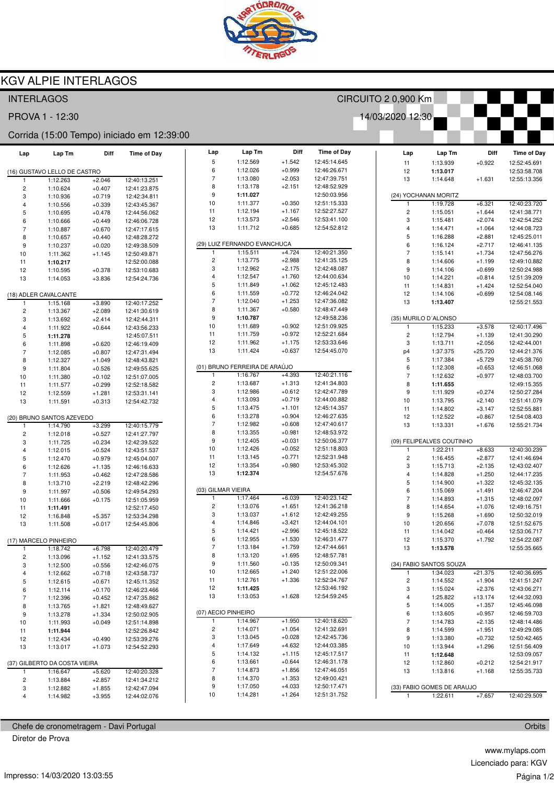

## **KGV ALPIE INTERLAGOS**

| <b>INTERLAGOS</b>                          |                               |          |                    |                |                               |                      |                              | CIRCUITO 2 0,900 Km      |                            |                      |                              |  |  |
|--------------------------------------------|-------------------------------|----------|--------------------|----------------|-------------------------------|----------------------|------------------------------|--------------------------|----------------------------|----------------------|------------------------------|--|--|
| 14/03/2020 12:30<br>PROVA 1 - 12:30        |                               |          |                    |                |                               |                      |                              |                          |                            |                      |                              |  |  |
| Corrida (15:00 Tempo) iniciado em 12:39:00 |                               |          |                    |                |                               |                      |                              |                          |                            |                      |                              |  |  |
| Lap                                        | Lap Tm                        | Diff     | <b>Time of Day</b> | Lap            | Lap Tm                        | Diff                 | <b>Time of Day</b>           | Lap                      | Lap Tm                     | Diff                 | <b>Time of Day</b>           |  |  |
|                                            |                               |          |                    | 5              | 1:12.569                      | $+1.542$             | 12:45:14.645                 | 11                       | 1:13.939                   | $+0.922$             | 12:52:45.691                 |  |  |
| (16) GUSTAVO LELLO DE CASTRO               |                               |          |                    | 6              | 1:12.026                      | $+0.999$             | 12:46:26.671                 | 12                       | 1:13.017                   |                      | 12:53:58.708                 |  |  |
|                                            | 1:12.263                      | $+2.046$ | 12:40:13.251       | $\sqrt{7}$     | 1:13.080                      | $+2.053$             | 12:47:39.751                 | 13                       | 1:14.648                   | $+1.631$             | 12:55:13.356                 |  |  |
| $\overline{\mathbf{c}}$                    | 1:10.624                      | $+0.407$ | 12:41:23.875       | 8              | 1:13.178                      | $+2.151$             | 12:48:52.929                 |                          |                            |                      |                              |  |  |
| 3                                          | 1:10.936                      | $+0.719$ | 12:42:34.811       | 9              | 1:11.027                      |                      | 12:50:03.956                 |                          | (24) YOCHANAN MORITZ       |                      |                              |  |  |
| $\overline{\mathbf{4}}$                    | 1:10.556                      | $+0.339$ | 12:43:45.367       | 10             | 1:11.377                      | $+0.350$             | 12:51:15.333                 | 1                        | 1:19.728                   | $+6.321$             | 12:40:23.720                 |  |  |
| 5                                          | 1:10.695                      | $+0.478$ | 12:44:56.062       | 11             | 1:12.194                      | $+1.167$             | 12:52:27.527                 | $\overline{\mathbf{c}}$  | 1:15.051                   | $+1.644$             | 12:41:38.771                 |  |  |
| 6                                          | 1:10.666                      | $+0.449$ | 12:46:06.728       | 12<br>13       | 1:13.573<br>1:11.712          | $+2.546$<br>$+0.685$ | 12:53:41.100<br>12:54:52.812 | 3                        | 1:15.481                   | $+2.074$             | 12:42:54.252                 |  |  |
| $\overline{7}$                             | 1:10.887                      | $+0.670$ | 12:47:17.615       |                |                               |                      |                              | 4<br>5                   | 1:14.471                   | $+1.064$             | 12:44:08.723                 |  |  |
| 8                                          | 1:10.657                      | $+0.440$ | 12:48:28.272       |                | (29) LUIZ FERNANDO EVANCHUCA  |                      |                              | 6                        | 1:16.288                   | $+2.881$             | 12:45:25.011                 |  |  |
| 9                                          | 1:10.237                      | $+0.020$ | 12:49:38.509       | 1              | 1:15.511                      | $+4.724$             | 12:40:21.350                 | $\overline{\phantom{a}}$ | 1:16.124<br>1:15.141       | $+2.717$<br>$+1.734$ | 12:46:41.135<br>12:47:56.276 |  |  |
| 10                                         | 1:11.362                      | $+1.145$ | 12:50:49.871       | $\sqrt{2}$     | 1:13.775                      | $+2.988$             | 12:41:35.125                 | 8                        | 1:14.606                   | $+1.199$             | 12:49:10.882                 |  |  |
| 11                                         | 1:10.217                      |          | 12:52:00.088       | 3              | 1:12.962                      | $+2.175$             | 12:42:48.087                 | $\boldsymbol{9}$         | 1:14.106                   | $+0.699$             | 12:50:24.988                 |  |  |
| 12<br>13                                   | 1:10.595                      | $+0.378$ | 12:53:10.683       | 4              | 1:12.547                      | $+1.760$             | 12:44:00.634                 | 10                       | 1:14.221                   | $+0.814$             | 12:51:39.209                 |  |  |
|                                            | 1:14.053                      | $+3.836$ | 12:54:24.736       | $\sqrt{5}$     | 1:11.849                      | $+1.062$             | 12:45:12.483                 | 11                       | 1:14.831                   | $+1.424$             | 12:52:54.040                 |  |  |
|                                            | (18) ADLER CAVALCANTE         |          |                    | 6              | 1:11.559                      | $+0.772$             | 12:46:24.042                 | 12                       | 1:14.106                   | $+0.699$             | 12:54:08.146                 |  |  |
| $\mathbf{1}$                               | 1:15.168                      | $+3.890$ | 12:40:17.252       | $\overline{7}$ | 1:12.040                      | $+1.253$             | 12:47:36.082                 | 13                       | 1:13.407                   |                      | 12:55:21.553                 |  |  |
| $\overline{\mathbf{c}}$                    | 1:13.367                      | $+2.089$ | 12:41:30.619       | 8              | 1:11.367                      | $+0.580$             | 12:48:47.449                 |                          |                            |                      |                              |  |  |
| 3                                          | 1:13.692                      | $+2.414$ | 12:42:44.311       | 9              | 1:10.787                      |                      | 12:49:58.236                 |                          | (35) MURILO D'ALONSO       |                      |                              |  |  |
| $\overline{\mathbf{4}}$                    | 1:11.922                      | $+0.644$ | 12:43:56.233       | 10             | 1:11.689                      | $+0.902$             | 12:51:09.925                 | $\mathbf{1}$             | 1:15.233                   | $+3.578$             | 12:40:17.496                 |  |  |
| 5                                          | 1:11.278                      |          | 12:45:07.511       | 11             | 1:11.759                      | $+0.972$             | 12:52:21.684                 | $\overline{c}$           | 1:12.794                   | $+1.139$             | 12:41:30.290                 |  |  |
| 6                                          | 1:11.898                      | $+0.620$ | 12:46:19.409       | 12             | 1:11.962                      | $+1.175$             | 12:53:33.646                 | $\sqrt{3}$               | 1:13.711                   | $+2.056$             | 12:42:44.001                 |  |  |
| $\overline{7}$                             | 1:12.085                      | $+0.807$ | 12:47:31.494       | 13             | 1:11.424                      | $+0.637$             | 12:54:45.070                 | p4                       | 1:37.375                   | $+25.720$            | 12:44:21.376                 |  |  |
| 8                                          | 1:12.327                      | $+1.049$ | 12:48:43.821       |                |                               |                      |                              | 5                        | 1:17.384                   | $+5.729$             | 12:45:38.760                 |  |  |
| 9                                          | 1:11.804                      | $+0.526$ | 12:49:55.625       |                | (01) BRUNO FERREIRA DE ARAÚJO |                      |                              | 6                        | 1:12.308                   | $+0.653$             | 12:46:51.068                 |  |  |
| 10                                         | 1:11.380                      | $+0.102$ | 12:51:07.005       |                | 1:16.767                      | $+4.393$             | 12:40:21.116                 | $\overline{\phantom{a}}$ | 1:12.632                   | $+0.977$             | 12:48:03.700                 |  |  |
| 11                                         | 1:11.577                      | $+0.299$ | 12:52:18.582       | $\overline{c}$ | 1:13.687                      | $+1.313$             | 12:41:34.803                 | 8                        | 1:11.655                   |                      | 12:49:15.355                 |  |  |
| 12                                         | 1:12.559                      | $+1.281$ | 12:53:31.141       | 3              | 1:12.986                      | $+0.612$             | 12:42:47.789                 | $\boldsymbol{9}$         | 1:11.929                   | $+0.274$             | 12:50:27.284                 |  |  |
| 13                                         | 1:11.591                      | $+0.313$ | 12:54:42.732       | $\overline{4}$ | 1:13.093                      | $+0.719$             | 12:44:00.882                 | 10                       | 1:13.795                   | $+2.140$             | 12:51:41.079                 |  |  |
|                                            |                               |          |                    | $\sqrt{5}$     | 1:13.475                      | $+1.101$             | 12:45:14.357                 | 11                       | 1:14.802                   | $+3.147$             | 12:52:55.881                 |  |  |
| (20) BRUNO SANTOS AZEVEDO                  |                               |          | 6                  | 1:13.278       | $+0.904$                      | 12:46:27.635         | 12                           | 1:12.522                 | $+0.867$                   | 12:54:08.403         |                              |  |  |
| 1                                          | 1:14.790                      | $+3.299$ | 12:40:15.779       | $\overline{7}$ | 1:12.982                      | $+0.608$             | 12:47:40.617                 | 13                       | 1:13.331                   | $+1.676$             | 12:55:21.734                 |  |  |
| $\overline{\mathbf{c}}$                    | 1:12.018                      | $+0.527$ | 12:41:27.797       | 8              | 1:13.355                      | $+0.981$             | 12:48:53.972                 |                          |                            |                      |                              |  |  |
| 3                                          | 1:11.725                      | $+0.234$ | 12:42:39.522       | 9              | 1:12.405                      | $+0.031$             | 12:50:06.377                 |                          | (09) FELIPEALVES COUTINHO  |                      |                              |  |  |
| 4                                          | 1:12.015                      | $+0.524$ | 12:43:51.537       | 10             | 1:12.426                      | $+0.052$             | 12:51:18.803                 | $\mathbf{1}$             | 1:22.211                   | $+8.633$             | 12:40:30.239                 |  |  |
| 5                                          | 1:12.470                      | $+0.979$ | 12:45:04.007       | 11             | 1:13.145                      | $+0.771$             | 12:52:31.948                 | $\overline{\mathbf{c}}$  | 1:16.455                   | $+2.877$             | 12:41:46.694                 |  |  |
| 6                                          | 1:12.626                      | $+1.135$ | 12:46:16.633       | 12             | 1:13.354                      | $+0.980$             | 12:53:45.302                 | 3                        | 1:15.713                   | $+2.135$             | 12:43:02.407                 |  |  |
| $\overline{7}$                             | 1:11.953                      | $+0.462$ | 12:47:28.586       | 13             | 1:12.374                      |                      | 12:54:57.676                 | 4                        | 1:14.828                   | $+1.250$             | 12:44:17.235                 |  |  |
| 8                                          | 1:13.710                      | $+2.219$ | 12:48:42.296       |                |                               |                      |                              | 5                        | 1:14.900                   | $+1.322$             | 12:45:32.135                 |  |  |
| 9                                          | 1:11.997                      | $+0.506$ | 12:49:54.293       |                | (03) GILMAR VIEIRA            |                      |                              | 6                        | 1:15.069                   | $+1.491$             | 12:46:47.204                 |  |  |
| 10                                         | 1:11.666                      | $+0.175$ | 12:51:05.959       |                | 1:17.464                      | $+6.039$             | 12:40:23.142                 | $\overline{7}$           | 1:14.893                   | $+1.315$             | 12:48:02.097                 |  |  |
| 11                                         | 1:11.491                      |          | 12:52:17.450       | $\overline{c}$ | 1:13.076                      | $+1.651$             | 12:41:36.218                 | 8                        | 1:14.654                   | $+1.076$             | 12:49:16.751                 |  |  |
| 12                                         | 1:16.848                      | $+5.357$ | 12:53:34.298       | 3              | 1:13.037                      | $+1.612$             | 12:42:49.255                 | 9                        | 1:15.268                   | $+1.690$             | 12:50:32.019                 |  |  |
| 13                                         | 1:11.508                      | $+0.017$ | 12:54:45.806       | $\overline{4}$ | 1:14.846                      | $+3.421$             | 12:44:04.101                 | 10                       | 1:20.656                   | $+7.078$             | 12:51:52.675                 |  |  |
|                                            |                               |          |                    | 5              | 1:14.421                      | $+2.996$             | 12:45:18.522                 | 11                       | 1:14.042                   | $+0.464$             | 12:53:06.717                 |  |  |
|                                            | (17) MARCELO PINHEIRO         |          |                    | 6              | 1:12.955                      | $+1.530$             | 12:46:31.477                 | 12                       | 1:15.370                   | $+1.792$             | 12:54:22.087                 |  |  |
| $\mathbf{1}$                               | 1:18.742                      | $+6.798$ | 12:40:20.479       | $\overline{7}$ | 1:13.184                      | $+1.759$             | 12:47:44.661                 | 13                       | 1:13.578                   |                      | 12:55:35.665                 |  |  |
| $\overline{\mathbf{c}}$                    | 1:13.096                      | $+1.152$ | 12:41:33.575       | 8              | 1:13.120                      | $+1.695$             | 12:48:57.781                 |                          |                            |                      |                              |  |  |
| 3                                          | 1:12.500                      | $+0.556$ | 12:42:46.075       | 9              | 1:11.560                      | $+0.135$             | 12:50:09.341                 |                          | (34) FABIO SANTOS SOUZA    |                      |                              |  |  |
| 4                                          | 1:12.662                      | $+0.718$ | 12:43:58.737       | 10             | 1:12.665                      | $+1.240$             | 12:51:22.006                 | $\mathbf{1}$             | 1:34.023                   | $+21.375$            | 12:40:36.695                 |  |  |
| 5                                          | 1:12.615                      | $+0.671$ | 12:45:11.352       | 11             | 1:12.761                      | $+1.336$             | 12:52:34.767                 | $\sqrt{2}$               | 1:14.552                   | $+1.904$             | 12:41:51.247                 |  |  |
| 6                                          | 1:12.114                      | $+0.170$ | 12:46:23.466       | 12             | 1:11.425                      |                      | 12:53:46.192                 | 3                        | 1:15.024                   | $+2.376$             | 12:43:06.271                 |  |  |
| $\overline{7}$                             | 1:12.396                      | $+0.452$ | 12:47:35.862       | 13             | 1:13.053                      | $+1.628$             | 12:54:59.245                 | 4                        | 1:25.822                   | $+13.174$            | 12:44:32.093                 |  |  |
| 8                                          | 1:13.765                      | $+1.821$ | 12:48:49.627       |                |                               |                      |                              | 5                        | 1:14.005                   | $+1.357$             | 12:45:46.098                 |  |  |
| 9                                          | 1:13.278                      | $+1.334$ | 12:50:02.905       |                | (07) AECIO PINHEIRO           |                      |                              | 6                        | 1:13.605                   | $+0.957$             | 12:46:59.703                 |  |  |
| 10                                         | 1:11.993                      | $+0.049$ | 12:51:14.898       | $\mathbf{1}$   | 1:14.967                      | $+1.950$             | 12:40:18.620                 | $\boldsymbol{7}$         | 1:14.783                   | $+2.135$             | 12:48:14.486                 |  |  |
| 11                                         | 1:11.944                      |          | 12:52:26.842       | 2              | 1:14.071                      | $+1.054$             | 12:41:32.691                 | 8                        | 1:14.599                   | $+1.951$             | 12:49:29.085                 |  |  |
| 12                                         | 1:12.434                      | $+0.490$ | 12:53:39.276       | 3              | 1:13.045                      | $+0.028$             | 12:42:45.736                 | 9                        | 1:13.380                   | $+0.732$             | 12:50:42.465                 |  |  |
| 13                                         | 1:13.017                      | $+1.073$ | 12:54:52.293       | 4              | 1:17.649                      | $+4.632$             | 12:44:03.385                 | 10                       | 1:13.944                   | $+1.296$             | 12:51:56.409                 |  |  |
|                                            |                               |          |                    | 5              | 1:14.132                      | $+1.115$             | 12:45:17.517                 | 11                       | 1:12.648                   |                      | 12:53:09.057                 |  |  |
|                                            | (37) GILBERTO DA COSTA VIEIRA |          |                    | 6              | 1:13.661                      | $+0.644$             | 12:46:31.178                 | 12                       | 1:12.860                   | $+0.212$             | 12:54:21.917                 |  |  |
| -1                                         | 1:16.647                      | $+5.620$ | 12:40:20.328       | $\overline{7}$ | 1:14.873                      | $+1.856$             | 12:47:46.051                 | 13                       | 1:13.816                   | $+1.168$             | 12:55:35.733                 |  |  |
| $\overline{c}$                             | 1:13.884                      | $+2.857$ | 12:41:34.212       | 8              | 1:14.370                      | $+1.353$             | 12:49:00.421                 |                          |                            |                      |                              |  |  |
| 3                                          | 1:12.882                      | $+1.855$ | 12:42:47.094       | 9              | 1:17.050                      | $+4.033$             | 12:50:17.471                 |                          | (33) FABIO GOMES DE ARAUJO |                      |                              |  |  |
| 4                                          | 1:14.982                      | $+3.955$ | 12:44:02.076       | 10             | 1:14.281                      | $+1.264$             | 12:51:31.752                 | $\mathbf{1}$             | 1:22.611                   | $+7.657$             | 12:40:29.509                 |  |  |

Chefe de cronometragem - Davi Portugal

Diretor de Prova

www.mylaps.com Licenciado para: KGV Página 1/2

Orbits